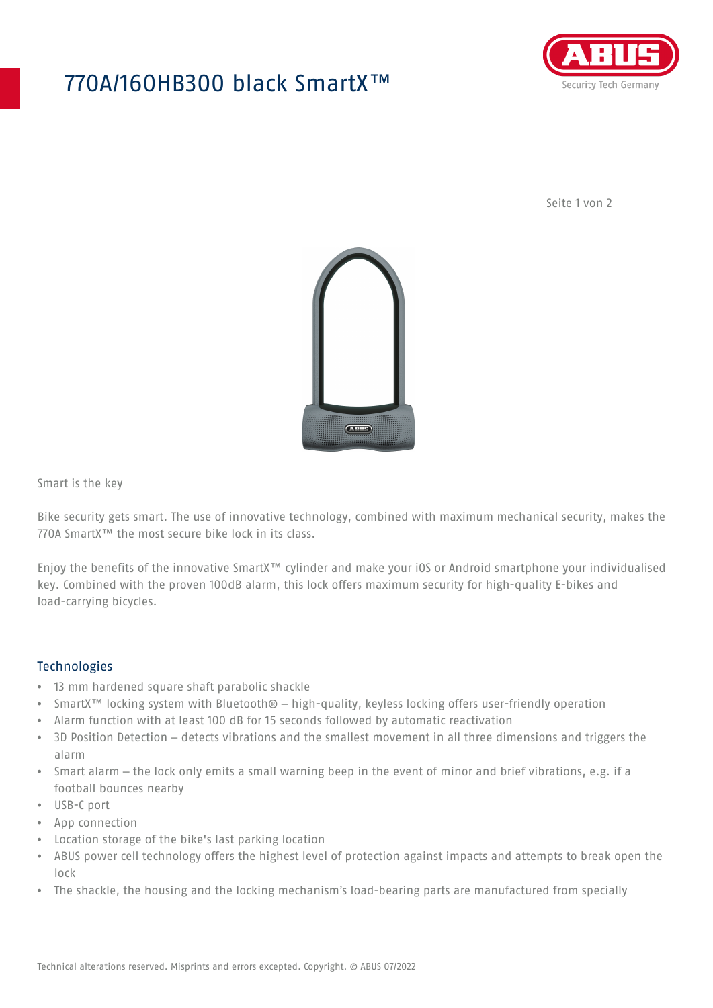## 770A/160HB300 black SmartX™



Seite 1 von 2



Smart is the key

Bike security gets smart. The use of innovative technology, combined with maximum mechanical security, makes the 770A SmartX™ the most secure bike lock in its class.

Enjoy the benefits of the innovative SmartX™ cylinder and make your iOS or Android smartphone your individualised key. Combined with the proven 100dB alarm, this lock offers maximum security for high-quality E-bikes and load-carrying bicycles.

## **Technologies**

- 13 mm hardened square shaft parabolic shackle
- SmartX™ locking system with Bluetooth® high-quality, keyless locking offers user-friendly operation
- Alarm function with at least 100 dB for 15 seconds followed by automatic reactivation
- 3D Position Detection detects vibrations and the smallest movement in all three dimensions and triggers the alarm
- Smart alarm the lock only emits a small warning beep in the event of minor and brief vibrations, e.g. if a football bounces nearby
- USB-C port
- App connection
- Location storage of the bike's last parking location
- ABUS power cell technology offers the highest level of protection against impacts and attempts to break open the lock
- The shackle, the housing and the locking mechanism's load-bearing parts are manufactured from specially